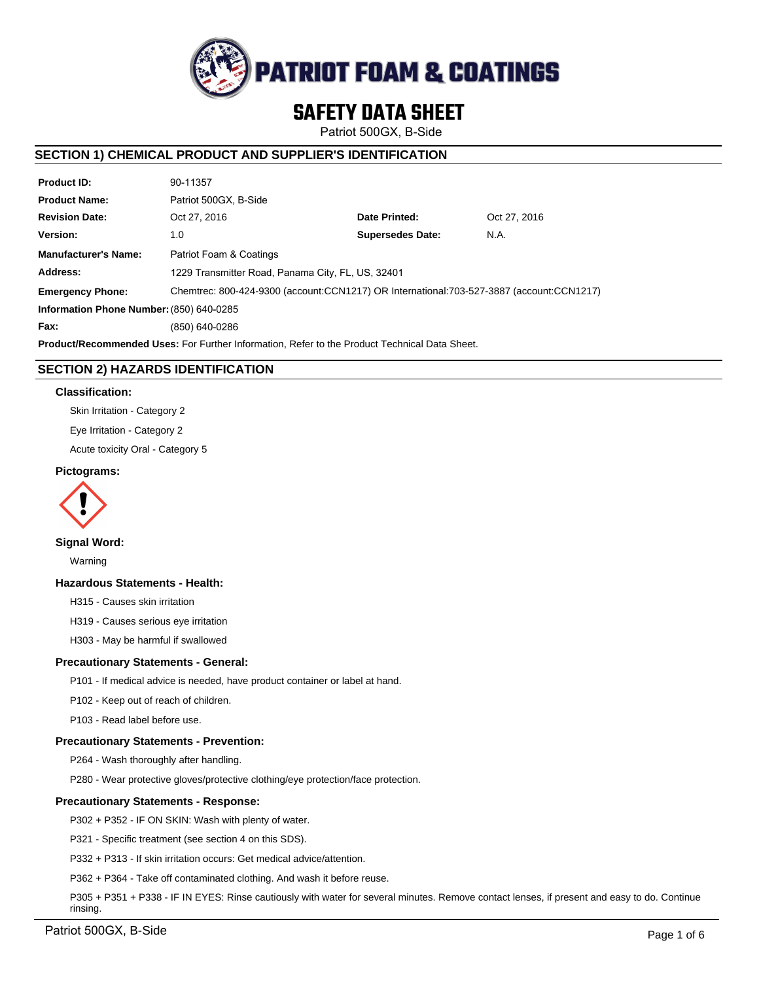

# **SAFETY DATA SHEET**

Patriot 500GX, B-Side

# **SECTION 1) CHEMICAL PRODUCT AND SUPPLIER'S IDENTIFICATION**

| <b>Product ID:</b>                                                                                   | 90-11357                                                                                 |                         |              |  |
|------------------------------------------------------------------------------------------------------|------------------------------------------------------------------------------------------|-------------------------|--------------|--|
| <b>Product Name:</b>                                                                                 | Patriot 500GX, B-Side                                                                    |                         |              |  |
| <b>Revision Date:</b>                                                                                | Oct 27, 2016                                                                             | Date Printed:           | Oct 27, 2016 |  |
| Version:                                                                                             | 1.0                                                                                      | <b>Supersedes Date:</b> | N.A.         |  |
| <b>Manufacturer's Name:</b>                                                                          | Patriot Foam & Coatings                                                                  |                         |              |  |
| Address:                                                                                             | 1229 Transmitter Road, Panama City, FL, US, 32401                                        |                         |              |  |
| <b>Emergency Phone:</b>                                                                              | Chemtrec: 800-424-9300 (account:CCN1217) OR International:703-527-3887 (account:CCN1217) |                         |              |  |
| Information Phone Number: (850) 640-0285                                                             |                                                                                          |                         |              |  |
| Fax:                                                                                                 | (850) 640-0286                                                                           |                         |              |  |
| <b>Product/Recommended Uses:</b> For Further Information, Refer to the Product Technical Data Sheet. |                                                                                          |                         |              |  |

# **SECTION 2) HAZARDS IDENTIFICATION**

### **Classification:**

Skin Irritation - Category 2

Eye Irritation - Category 2

Acute toxicity Oral - Category 5

## **Pictograms:**



**Signal Word:**

Warning

# **Hazardous Statements - Health:**

H315 - Causes skin irritation

H319 - Causes serious eye irritation

H303 - May be harmful if swallowed

### **Precautionary Statements - General:**

P101 - If medical advice is needed, have product container or label at hand.

P102 - Keep out of reach of children.

P103 - Read label before use.

### **Precautionary Statements - Prevention:**

P264 - Wash thoroughly after handling.

P280 - Wear protective gloves/protective clothing/eye protection/face protection.

### **Precautionary Statements - Response:**

P302 + P352 - IF ON SKIN: Wash with plenty of water.

P321 - Specific treatment (see section 4 on this SDS).

P332 + P313 - If skin irritation occurs: Get medical advice/attention.

P362 + P364 - Take off contaminated clothing. And wash it before reuse.

P305 + P351 + P338 - IF IN EYES: Rinse cautiously with water for several minutes. Remove contact lenses, if present and easy to do. Continue rinsing.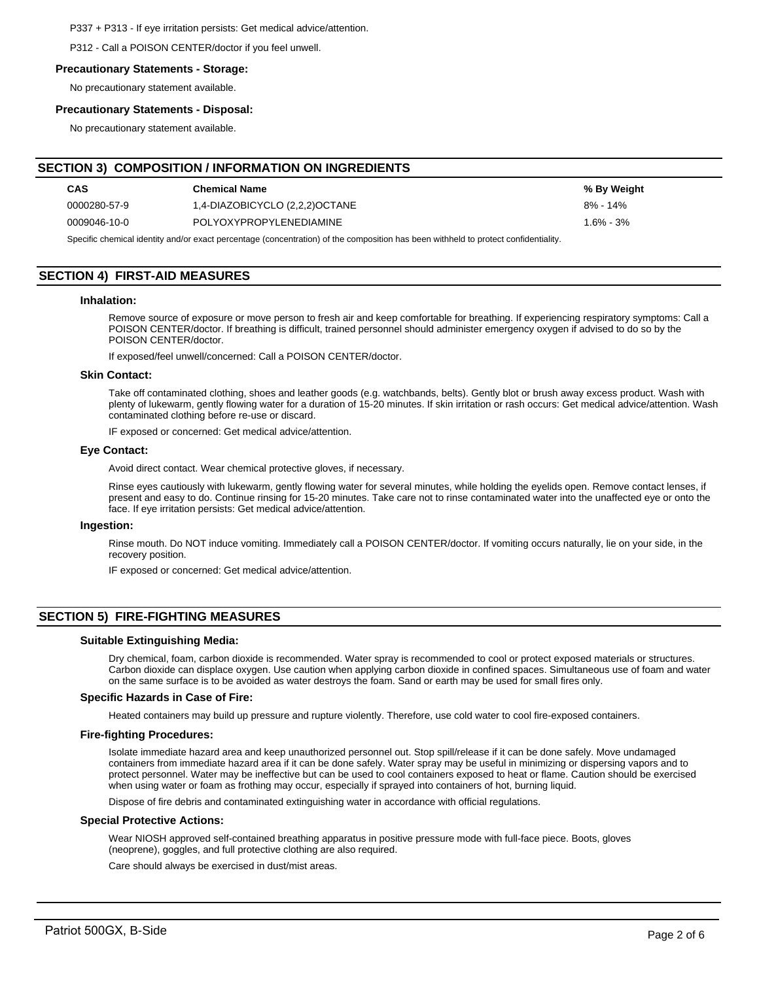P337 + P313 - If eye irritation persists: Get medical advice/attention.

P312 - Call a POISON CENTER/doctor if you feel unwell.

#### **Precautionary Statements - Storage:**

No precautionary statement available.

### **Precautionary Statements - Disposal:**

No precautionary statement available.

# **SECTION 3) COMPOSITION / INFORMATION ON INGREDIENTS**

| <b>CAS</b>   | <b>Chemical Name</b>           | % By Weight   |
|--------------|--------------------------------|---------------|
| 0000280-57-9 | 1,4-DIAZOBICYCLO (2,2,2)OCTANE | $8\% - 14\%$  |
| 0009046-10-0 | POLYOXYPROPYLENEDIAMINE        | $1.6\% - 3\%$ |

Specific chemical identity and/or exact percentage (concentration) of the composition has been withheld to protect confidentiality.

# **SECTION 4) FIRST-AID MEASURES**

### **Inhalation:**

Remove source of exposure or move person to fresh air and keep comfortable for breathing. If experiencing respiratory symptoms: Call a POISON CENTER/doctor. If breathing is difficult, trained personnel should administer emergency oxygen if advised to do so by the POISON CENTER/doctor.

If exposed/feel unwell/concerned: Call a POISON CENTER/doctor.

#### **Skin Contact:**

Take off contaminated clothing, shoes and leather goods (e.g. watchbands, belts). Gently blot or brush away excess product. Wash with plenty of lukewarm, gently flowing water for a duration of 15-20 minutes. If skin irritation or rash occurs: Get medical advice/attention. Wash contaminated clothing before re-use or discard.

IF exposed or concerned: Get medical advice/attention.

### **Eye Contact:**

Avoid direct contact. Wear chemical protective gloves, if necessary.

Rinse eyes cautiously with lukewarm, gently flowing water for several minutes, while holding the eyelids open. Remove contact lenses, if present and easy to do. Continue rinsing for 15-20 minutes. Take care not to rinse contaminated water into the unaffected eye or onto the face. If eye irritation persists: Get medical advice/attention.

#### **Ingestion:**

Rinse mouth. Do NOT induce vomiting. Immediately call a POISON CENTER/doctor. If vomiting occurs naturally, lie on your side, in the recovery position.

IF exposed or concerned: Get medical advice/attention.

# **SECTION 5) FIRE-FIGHTING MEASURES**

### **Suitable Extinguishing Media:**

Dry chemical, foam, carbon dioxide is recommended. Water spray is recommended to cool or protect exposed materials or structures. Carbon dioxide can displace oxygen. Use caution when applying carbon dioxide in confined spaces. Simultaneous use of foam and water on the same surface is to be avoided as water destroys the foam. Sand or earth may be used for small fires only.

#### **Specific Hazards in Case of Fire:**

Heated containers may build up pressure and rupture violently. Therefore, use cold water to cool fire-exposed containers.

#### **Fire-fighting Procedures:**

Isolate immediate hazard area and keep unauthorized personnel out. Stop spill/release if it can be done safely. Move undamaged containers from immediate hazard area if it can be done safely. Water spray may be useful in minimizing or dispersing vapors and to protect personnel. Water may be ineffective but can be used to cool containers exposed to heat or flame. Caution should be exercised when using water or foam as frothing may occur, especially if sprayed into containers of hot, burning liquid.

Dispose of fire debris and contaminated extinguishing water in accordance with official regulations.

#### **Special Protective Actions:**

Wear NIOSH approved self-contained breathing apparatus in positive pressure mode with full-face piece. Boots, gloves (neoprene), goggles, and full protective clothing are also required.

Care should always be exercised in dust/mist areas.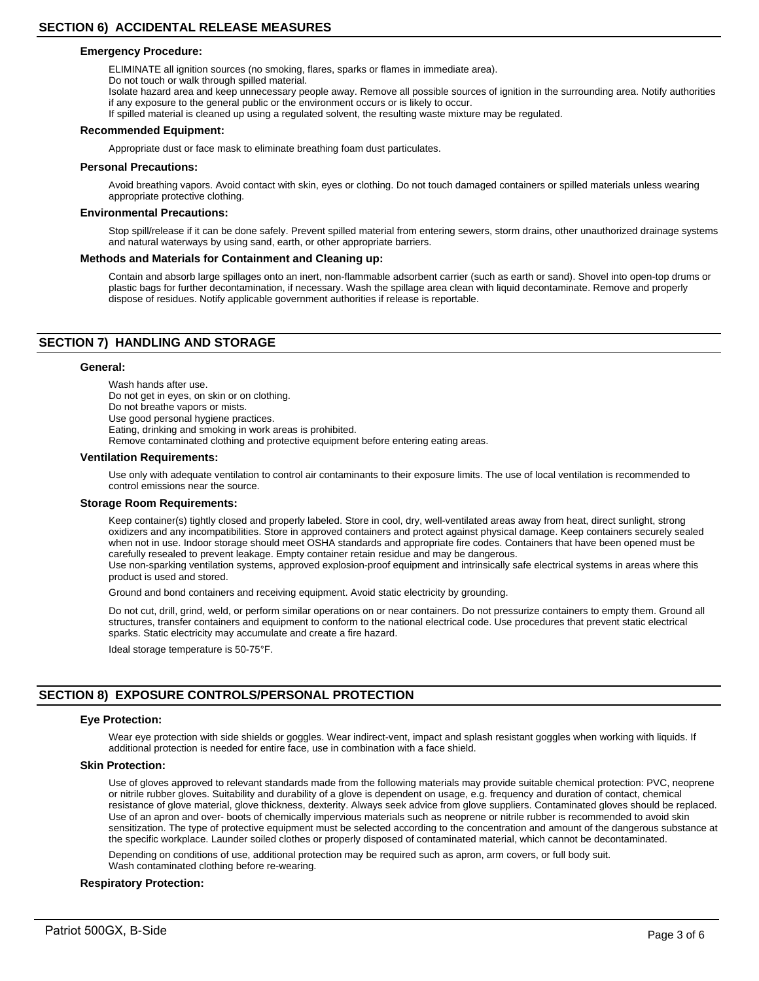### **Emergency Procedure:**

ELIMINATE all ignition sources (no smoking, flares, sparks or flames in immediate area).

Do not touch or walk through spilled material.

Isolate hazard area and keep unnecessary people away. Remove all possible sources of ignition in the surrounding area. Notify authorities if any exposure to the general public or the environment occurs or is likely to occur.

If spilled material is cleaned up using a regulated solvent, the resulting waste mixture may be regulated.

#### **Recommended Equipment:**

Appropriate dust or face mask to eliminate breathing foam dust particulates.

#### **Personal Precautions:**

Avoid breathing vapors. Avoid contact with skin, eyes or clothing. Do not touch damaged containers or spilled materials unless wearing appropriate protective clothing.

#### **Environmental Precautions:**

Stop spill/release if it can be done safely. Prevent spilled material from entering sewers, storm drains, other unauthorized drainage systems and natural waterways by using sand, earth, or other appropriate barriers.

### **Methods and Materials for Containment and Cleaning up:**

Contain and absorb large spillages onto an inert, non-flammable adsorbent carrier (such as earth or sand). Shovel into open-top drums or plastic bags for further decontamination, if necessary. Wash the spillage area clean with liquid decontaminate. Remove and properly dispose of residues. Notify applicable government authorities if release is reportable.

# **SECTION 7) HANDLING AND STORAGE**

### **General:**

Wash hands after use. Do not get in eyes, on skin or on clothing. Do not breathe vapors or mists. Use good personal hygiene practices. Eating, drinking and smoking in work areas is prohibited. Remove contaminated clothing and protective equipment before entering eating areas.

#### **Ventilation Requirements:**

Use only with adequate ventilation to control air contaminants to their exposure limits. The use of local ventilation is recommended to control emissions near the source.

#### **Storage Room Requirements:**

Keep container(s) tightly closed and properly labeled. Store in cool, dry, well-ventilated areas away from heat, direct sunlight, strong oxidizers and any incompatibilities. Store in approved containers and protect against physical damage. Keep containers securely sealed when not in use. Indoor storage should meet OSHA standards and appropriate fire codes. Containers that have been opened must be carefully resealed to prevent leakage. Empty container retain residue and may be dangerous.

Use non-sparking ventilation systems, approved explosion-proof equipment and intrinsically safe electrical systems in areas where this product is used and stored.

Ground and bond containers and receiving equipment. Avoid static electricity by grounding.

Do not cut, drill, grind, weld, or perform similar operations on or near containers. Do not pressurize containers to empty them. Ground all structures, transfer containers and equipment to conform to the national electrical code. Use procedures that prevent static electrical sparks. Static electricity may accumulate and create a fire hazard.

Ideal storage temperature is 50-75°F.

# **SECTION 8) EXPOSURE CONTROLS/PERSONAL PROTECTION**

#### **Eye Protection:**

Wear eye protection with side shields or goggles. Wear indirect-vent, impact and splash resistant goggles when working with liquids. If additional protection is needed for entire face, use in combination with a face shield.

#### **Skin Protection:**

Use of gloves approved to relevant standards made from the following materials may provide suitable chemical protection: PVC, neoprene or nitrile rubber gloves. Suitability and durability of a glove is dependent on usage, e.g. frequency and duration of contact, chemical resistance of glove material, glove thickness, dexterity. Always seek advice from glove suppliers. Contaminated gloves should be replaced. Use of an apron and over- boots of chemically impervious materials such as neoprene or nitrile rubber is recommended to avoid skin sensitization. The type of protective equipment must be selected according to the concentration and amount of the dangerous substance at the specific workplace. Launder soiled clothes or properly disposed of contaminated material, which cannot be decontaminated.

Depending on conditions of use, additional protection may be required such as apron, arm covers, or full body suit. Wash contaminated clothing before re-wearing.

### **Respiratory Protection:**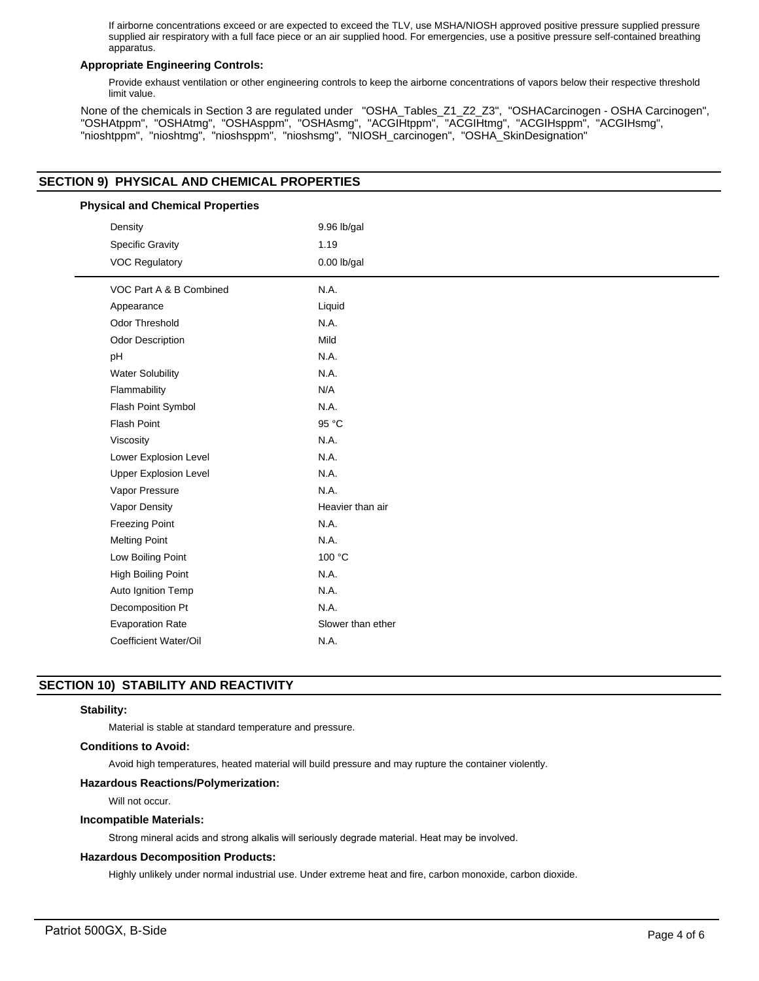If airborne concentrations exceed or are expected to exceed the TLV, use MSHA/NIOSH approved positive pressure supplied pressure supplied air respiratory with a full face piece or an air supplied hood. For emergencies, use a positive pressure self-contained breathing apparatus.

## **Appropriate Engineering Controls:**

Provide exhaust ventilation or other engineering controls to keep the airborne concentrations of vapors below their respective threshold limit value.

None of the chemicals in Section 3 are regulated under "OSHA\_Tables\_Z1\_Z2\_Z3", "OSHACarcinogen - OSHA Carcinogen", "OSHAtppm", "OSHAtmg", "OSHAsppm", "OSHAsmg", "ACGIHtppm", "ACGIHtmg", "ACGIHsppm", "ACGIHsmg", "nioshtppm", "nioshtmg", "nioshsppm", "nioshsmg", "NIOSH\_carcinogen", "OSHA\_SkinDesignation"

# **SECTION 9) PHYSICAL AND CHEMICAL PROPERTIES**

| <b>Physical and Chemical Properties</b> |                   |  |  |  |
|-----------------------------------------|-------------------|--|--|--|
| Density                                 | 9.96 lb/gal       |  |  |  |
| <b>Specific Gravity</b>                 | 1.19              |  |  |  |
| <b>VOC Regulatory</b>                   | $0.00$ lb/gal     |  |  |  |
| VOC Part A & B Combined                 | N.A.              |  |  |  |
| Appearance                              | Liquid            |  |  |  |
| Odor Threshold                          | N.A.              |  |  |  |
| Odor Description                        | Mild              |  |  |  |
| pH                                      | N.A.              |  |  |  |
| <b>Water Solubility</b>                 | N.A.              |  |  |  |
| Flammability                            | N/A               |  |  |  |
| Flash Point Symbol                      | N.A.              |  |  |  |
| Flash Point                             | 95 °C             |  |  |  |
| Viscosity                               | N.A.              |  |  |  |
| Lower Explosion Level                   | N.A.              |  |  |  |
| <b>Upper Explosion Level</b>            | N.A.              |  |  |  |
| Vapor Pressure                          | N.A.              |  |  |  |
| Vapor Density                           | Heavier than air  |  |  |  |
| <b>Freezing Point</b>                   | N.A.              |  |  |  |
| <b>Melting Point</b>                    | N.A.              |  |  |  |
| Low Boiling Point                       | 100 °C            |  |  |  |
| High Boiling Point                      | N.A.              |  |  |  |
| Auto Ignition Temp                      | N.A.              |  |  |  |
| Decomposition Pt                        | N.A.              |  |  |  |
| <b>Evaporation Rate</b>                 | Slower than ether |  |  |  |
| Coefficient Water/Oil                   | N.A.              |  |  |  |

# **SECTION 10) STABILITY AND REACTIVITY**

## **Stability:**

Material is stable at standard temperature and pressure.

### **Conditions to Avoid:**

Avoid high temperatures, heated material will build pressure and may rupture the container violently.

### **Hazardous Reactions/Polymerization:**

Will not occur.

### **Incompatible Materials:**

Strong mineral acids and strong alkalis will seriously degrade material. Heat may be involved.

### **Hazardous Decomposition Products:**

Highly unlikely under normal industrial use. Under extreme heat and fire, carbon monoxide, carbon dioxide.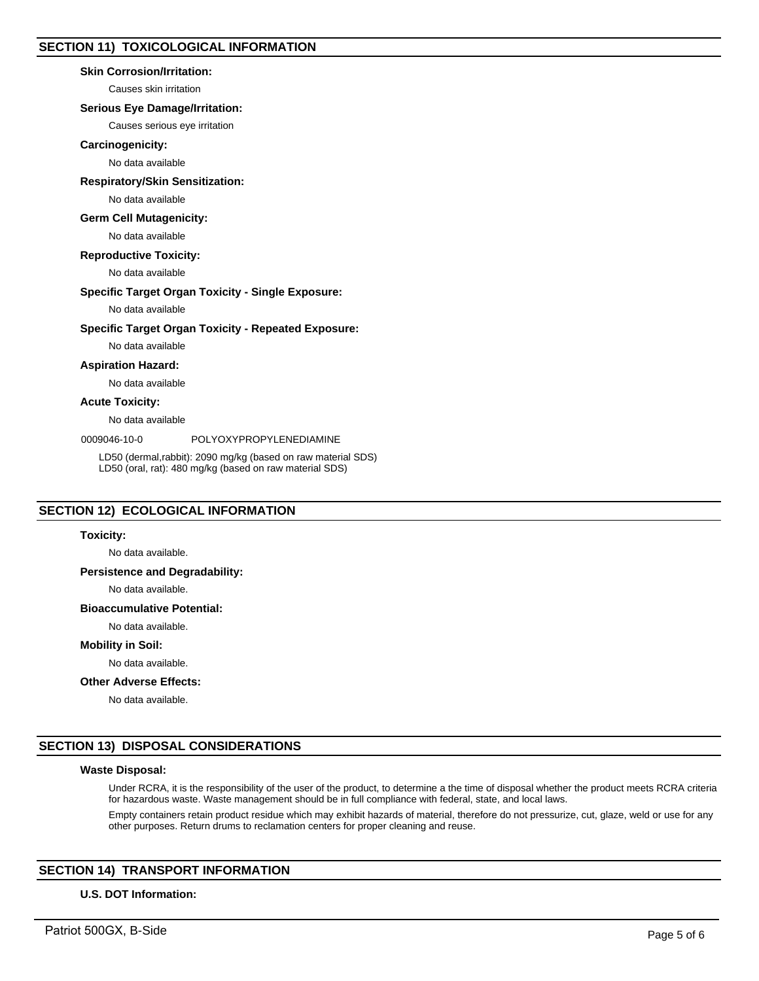### **Skin Corrosion/Irritation:**

Causes skin irritation

# **Serious Eye Damage/Irritation:**

Causes serious eye irritation

### **Carcinogenicity:**

No data available

### **Respiratory/Skin Sensitization:**

No data available

### **Germ Cell Mutagenicity:**

No data available

## **Reproductive Toxicity:**

No data available

### **Specific Target Organ Toxicity - Single Exposure:**

No data available

### **Specific Target Organ Toxicity - Repeated Exposure:**

No data available

**Aspiration Hazard:**

No data available

# **Acute Toxicity:**

No data available

0009046-10-0 POLYOXYPROPYLENEDIAMINE

LD50 (dermal,rabbit): 2090 mg/kg (based on raw material SDS) LD50 (oral, rat): 480 mg/kg (based on raw material SDS)

# **SECTION 12) ECOLOGICAL INFORMATION**

#### **Toxicity:**

No data available.

## **Persistence and Degradability:**

No data available.

### **Bioaccumulative Potential:**

No data available.

#### **Mobility in Soil:**

No data available.

# **Other Adverse Effects:**

No data available.

# **SECTION 13) DISPOSAL CONSIDERATIONS**

## **Waste Disposal:**

Under RCRA, it is the responsibility of the user of the product, to determine a the time of disposal whether the product meets RCRA criteria for hazardous waste. Waste management should be in full compliance with federal, state, and local laws.

Empty containers retain product residue which may exhibit hazards of material, therefore do not pressurize, cut, glaze, weld or use for any other purposes. Return drums to reclamation centers for proper cleaning and reuse.

# **SECTION 14) TRANSPORT INFORMATION**

### **U.S. DOT Information:**